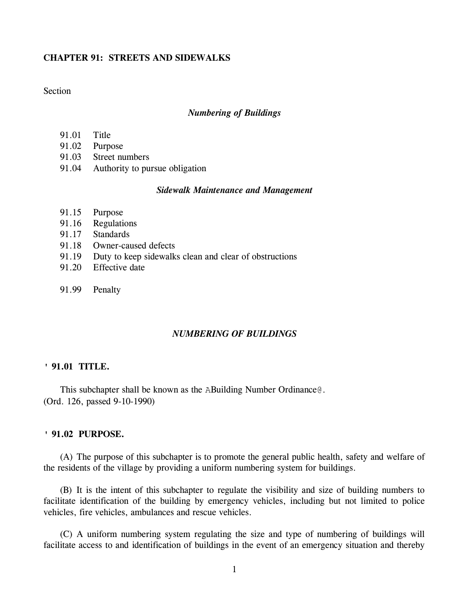### **CHAPTER 91: STREETS AND SIDEWALKS**

## **Section**

### *Numbering of Buildings*

- 91.01 Title
- 91.02 Purpose
- 91.03 Street numbers
- 91.04 Authority to pursue obligation

### *Sidewalk Maintenance and Management*

- 91.15 Purpose
- 91.16 Regulations
- 91.17 Standards
- 91.18 Owner-caused defects
- 91.19 Duty to keep sidewalks clean and clear of obstructions
- 91.20 Effective date
- 91.99 Penalty

## *NUMBERING OF BUILDINGS*

### **' 91.01 TITLE.**

This subchapter shall be known as the ABuilding Number Ordinance@. (Ord. 126, passed 9-10-1990)

### **' 91.02 PURPOSE.**

(A) The purpose of this subchapter is to promote the general public health, safety and welfare of the residents of the village by providing a uniform numbering system for buildings.

(B) It is the intent of this subchapter to regulate the visibility and size of building numbers to facilitate identification of the building by emergency vehicles, including but not limited to police vehicles, fire vehicles, ambulances and rescue vehicles.

(C) A uniform numbering system regulating the size and type of numbering of buildings will facilitate access to and identification of buildings in the event of an emergency situation and thereby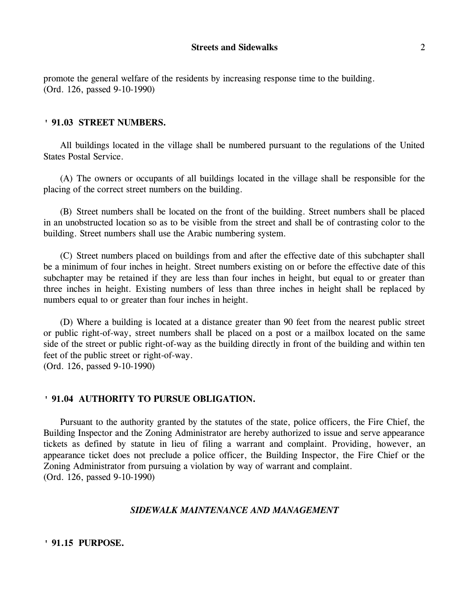promote the general welfare of the residents by increasing response time to the building. (Ord. 126, passed 9-10-1990)

### **' 91.03 STREET NUMBERS.**

All buildings located in the village shall be numbered pursuant to the regulations of the United States Postal Service.

(A) The owners or occupants of all buildings located in the village shall be responsible for the placing of the correct street numbers on the building.

(B) Street numbers shall be located on the front of the building. Street numbers shall be placed in an unobstructed location so as to be visible from the street and shall be of contrasting color to the building. Street numbers shall use the Arabic numbering system.

(C) Street numbers placed on buildings from and after the effective date of this subchapter shall be a minimum of four inches in height. Street numbers existing on or before the effective date of this subchapter may be retained if they are less than four inches in height, but equal to or greater than three inches in height. Existing numbers of less than three inches in height shall be replaced by numbers equal to or greater than four inches in height.

(D) Where a building is located at a distance greater than 90 feet from the nearest public street or public right-of-way, street numbers shall be placed on a post or a mailbox located on the same side of the street or public right-of-way as the building directly in front of the building and within ten feet of the public street or right-of-way.

(Ord. 126, passed 9-10-1990)

# **' 91.04 AUTHORITY TO PURSUE OBLIGATION.**

Pursuant to the authority granted by the statutes of the state, police officers, the Fire Chief, the Building Inspector and the Zoning Administrator are hereby authorized to issue and serve appearance tickets as defined by statute in lieu of filing a warrant and complaint. Providing, however, an appearance ticket does not preclude a police officer, the Building Inspector, the Fire Chief or the Zoning Administrator from pursuing a violation by way of warrant and complaint. (Ord. 126, passed 9-10-1990)

# *SIDEWALK MAINTENANCE AND MANAGEMENT*

**' 91.15 PURPOSE.**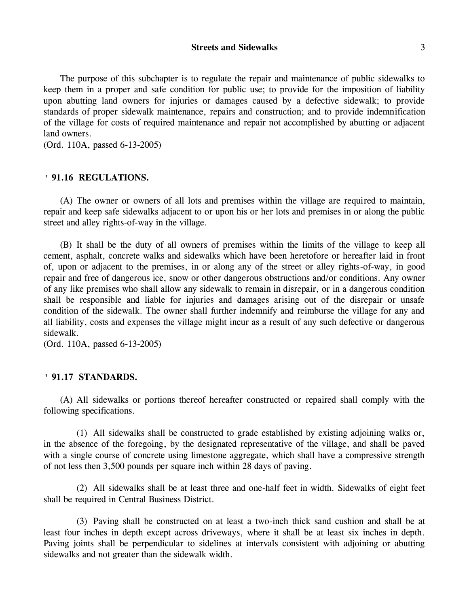**Streets and Sidewalks** 3

The purpose of this subchapter is to regulate the repair and maintenance of public sidewalks to keep them in a proper and safe condition for public use; to provide for the imposition of liability upon abutting land owners for injuries or damages caused by a defective sidewalk; to provide standards of proper sidewalk maintenance, repairs and construction; and to provide indemnification of the village for costs of required maintenance and repair not accomplished by abutting or adjacent land owners.

(Ord. 110A, passed 6-13-2005)

### **' 91.16 REGULATIONS.**

(A) The owner or owners of all lots and premises within the village are required to maintain, repair and keep safe sidewalks adjacent to or upon his or her lots and premises in or along the public street and alley rights-of-way in the village.

(B) It shall be the duty of all owners of premises within the limits of the village to keep all cement, asphalt, concrete walks and sidewalks which have been heretofore or hereafter laid in front of, upon or adjacent to the premises, in or along any of the street or alley rights-of-way, in good repair and free of dangerous ice, snow or other dangerous obstructions and/or conditions. Any owner of any like premises who shall allow any sidewalk to remain in disrepair, or in a dangerous condition shall be responsible and liable for injuries and damages arising out of the disrepair or unsafe condition of the sidewalk. The owner shall further indemnify and reimburse the village for any and all liability, costs and expenses the village might incur as a result of any such defective or dangerous sidewalk.

(Ord. 110A, passed 6-13-2005)

### **' 91.17 STANDARDS.**

(A) All sidewalks or portions thereof hereafter constructed or repaired shall comply with the following specifications.

(1) All sidewalks shall be constructed to grade established by existing adjoining walks or, in the absence of the foregoing, by the designated representative of the village, and shall be paved with a single course of concrete using limestone aggregate, which shall have a compressive strength of not less then 3,500 pounds per square inch within 28 days of paving.

(2) All sidewalks shall be at least three and one-half feet in width. Sidewalks of eight feet shall be required in Central Business District.

(3) Paving shall be constructed on at least a two-inch thick sand cushion and shall be at least four inches in depth except across driveways, where it shall be at least six inches in depth. Paving joints shall be perpendicular to sidelines at intervals consistent with adjoining or abutting sidewalks and not greater than the sidewalk width.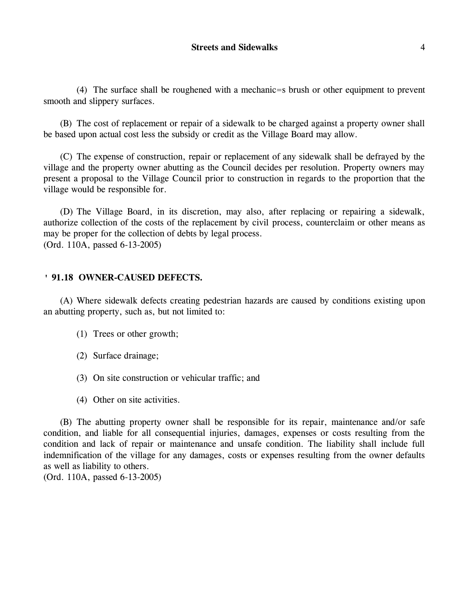(4) The surface shall be roughened with a mechanic=s brush or other equipment to prevent smooth and slippery surfaces.

(B) The cost of replacement or repair of a sidewalk to be charged against a property owner shall be based upon actual cost less the subsidy or credit as the Village Board may allow.

(C) The expense of construction, repair or replacement of any sidewalk shall be defrayed by the village and the property owner abutting as the Council decides per resolution. Property owners may present a proposal to the Village Council prior to construction in regards to the proportion that the village would be responsible for.

(D) The Village Board, in its discretion, may also, after replacing or repairing a sidewalk, authorize collection of the costs of the replacement by civil process, counterclaim or other means as may be proper for the collection of debts by legal process. (Ord. 110A, passed 6-13-2005)

### **' 91.18 OWNER-CAUSED DEFECTS.**

(A) Where sidewalk defects creating pedestrian hazards are caused by conditions existing upon an abutting property, such as, but not limited to:

- (1) Trees or other growth;
- (2) Surface drainage;
- (3) On site construction or vehicular traffic; and
- (4) Other on site activities.

(B) The abutting property owner shall be responsible for its repair, maintenance and/or safe condition, and liable for all consequential injuries, damages, expenses or costs resulting from the condition and lack of repair or maintenance and unsafe condition. The liability shall include full indemnification of the village for any damages, costs or expenses resulting from the owner defaults as well as liability to others. (Ord. 110A, passed 6-13-2005)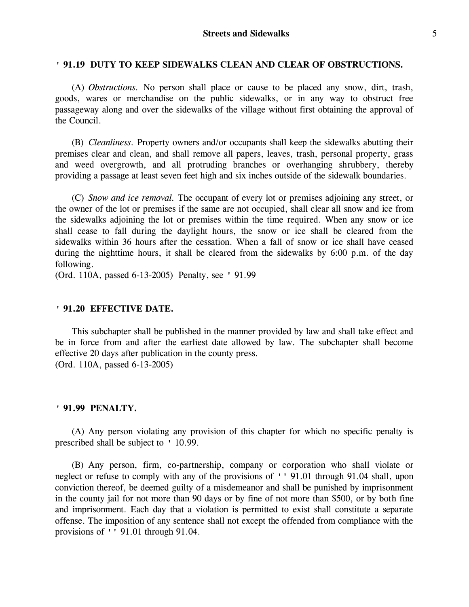### **' 91.19 DUTY TO KEEP SIDEWALKS CLEAN AND CLEAR OF OBSTRUCTIONS.**

(A) *Obstructions.* No person shall place or cause to be placed any snow, dirt, trash, goods, wares or merchandise on the public sidewalks, or in any way to obstruct free passageway along and over the sidewalks of the village without first obtaining the approval of the Council.

(B) *Cleanliness.* Property owners and/or occupants shall keep the sidewalks abutting their premises clear and clean, and shall remove all papers, leaves, trash, personal property, grass and weed overgrowth, and all protruding branches or overhanging shrubbery, thereby providing a passage at least seven feet high and six inches outside of the sidewalk boundaries.

(C) *Snow and ice removal.* The occupant of every lot or premises adjoining any street, or the owner of the lot or premises if the same are not occupied, shall clear all snow and ice from the sidewalks adjoining the lot or premises within the time required. When any snow or ice shall cease to fall during the daylight hours, the snow or ice shall be cleared from the sidewalks within 36 hours after the cessation. When a fall of snow or ice shall have ceased during the nighttime hours, it shall be cleared from the sidewalks by 6:00 p.m. of the day following.

(Ord. 110A, passed 6-13-2005) Penalty, see ' 91.99

### **' 91.20 EFFECTIVE DATE.**

This subchapter shall be published in the manner provided by law and shall take effect and be in force from and after the earliest date allowed by law. The subchapter shall become effective 20 days after publication in the county press. (Ord. 110A, passed 6-13-2005)

### **' 91.99 PENALTY.**

(A) Any person violating any provision of this chapter for which no specific penalty is prescribed shall be subject to ' 10.99.

(B) Any person, firm, co-partnership, company or corporation who shall violate or neglect or refuse to comply with any of the provisions of '' 91.01 through 91.04 shall, upon conviction thereof, be deemed guilty of a misdemeanor and shall be punished by imprisonment in the county jail for not more than 90 days or by fine of not more than \$500, or by both fine and imprisonment. Each day that a violation is permitted to exist shall constitute a separate offense. The imposition of any sentence shall not except the offended from compliance with the provisions of '' 91.01 through 91.04.